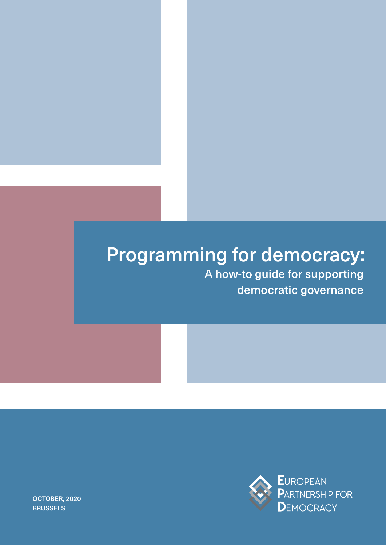# Programming for democracy:

Ī

A how-to guide for supporting democratic governance



OCTOBER, 2020 **BRUSSELS**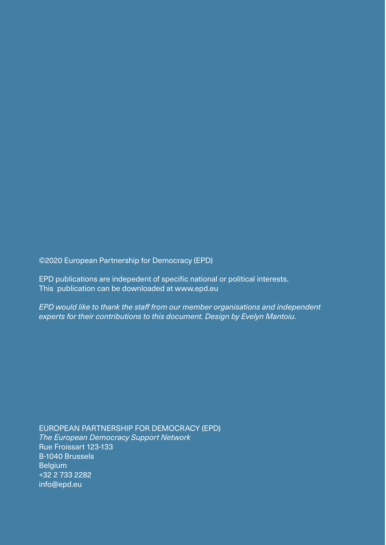©2020 European Partnership for Democracy (EPD)

EPD publications are indepedent of specific national or political interests. This publication can be downloaded at www.epd.eu

*EPD would like to thank the staff from our member organisations and independent experts for their contributions to this document. Design by Evelyn Mantoiu.*

EUROPEAN PARTNERSHIP FOR DEMOCRACY (EPD) *The European Democracy Support Network* Rue Froissart 123-133 B-1040 Brussels **Belgium** +32 2 733 2282 info@epd.eu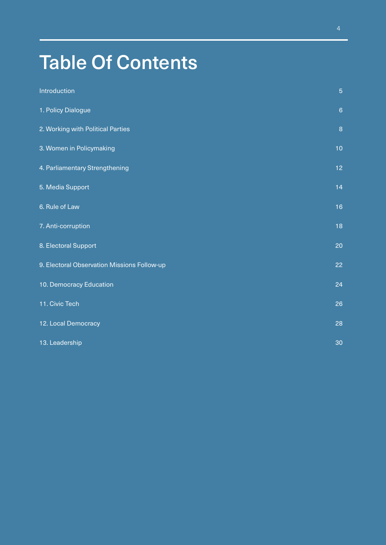# Table Of Contents

| Introduction                                | $\overline{5}$  |
|---------------------------------------------|-----------------|
| 1. Policy Dialogue                          | $6\phantom{1}6$ |
| 2. Working with Political Parties           | 8               |
| 3. Women in Policymaking                    | 10              |
| 4. Parliamentary Strengthening              | 12              |
| 5. Media Support                            | 14              |
| 6. Rule of Law                              | 16              |
| 7. Anti-corruption                          | 18              |
| 8. Electoral Support                        | 20              |
| 9. Electoral Observation Missions Follow-up | 22              |
| 10. Democracy Education                     | 24              |
| 11. Civic Tech                              | 26              |
| 12. Local Democracy                         | 28              |
| 13. Leadership                              | 30              |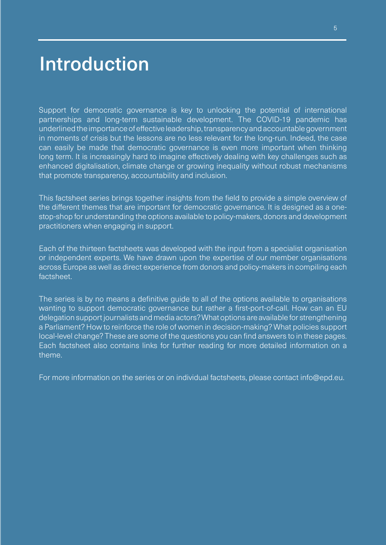# Introduction

Support for democratic governance is key to unlocking the potential of international partnerships and long-term sustainable development. The COVID-19 pandemic has underlined the importance of effective leadership, transparency and accountable government in moments of crisis but the lessons are no less relevant for the long-run. Indeed, the case can easily be made that democratic governance is even more important when thinking long term. It is increasingly hard to imagine effectively dealing with key challenges such as enhanced digitalisation, climate change or growing inequality without robust mechanisms that promote transparency, accountability and inclusion.

This factsheet series brings together insights from the field to provide a simple overview of the different themes that are important for democratic governance. It is designed as a onestop-shop for understanding the options available to policy-makers, donors and development practitioners when engaging in support.

Each of the thirteen factsheets was developed with the input from a specialist organisation or independent experts. We have drawn upon the expertise of our member organisations across Europe as well as direct experience from donors and policy-makers in compiling each factsheet.

The series is by no means a definitive guide to all of the options available to organisations wanting to support democratic governance but rather a first-port-of-call. How can an EU delegation support journalists and media actors? What options are available for strengthening a Parliament? How to reinforce the role of women in decision-making? What policies support local-level change? These are some of the questions you can find answers to in these pages. Each factsheet also contains links for further reading for more detailed information on a theme.

For more information on the series or on individual factsheets, please contact info@epd.eu.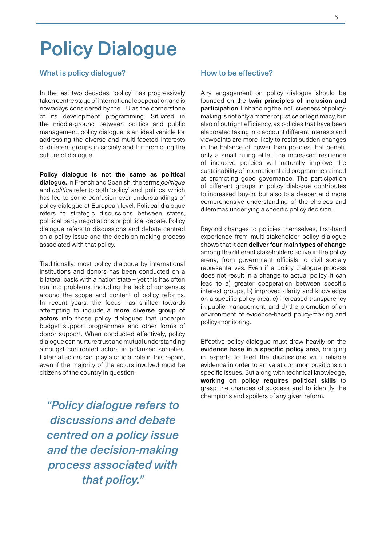# Policy Dialogue

# What is policy dialogue?

In the last two decades, 'policy' has progressively taken centre stage of international cooperation and is nowadays considered by the EU as the cornerstone of its development programming. Situated in the middle-ground between politics and public management, policy dialogue is an ideal vehicle for addressing the diverse and multi-faceted interests of different groups in society and for promoting the culture of dialogue.

Policy dialogue is not the same as political dialogue. In French and Spanish, the terms *politique* and *politica* refer to both 'policy' and 'politics' which has led to some confusion over understandings of policy dialogue at European level. Political dialogue refers to strategic discussions between states, political party negotiations or political debate. Policy dialogue refers to discussions and debate centred on a policy issue and the decision-making process associated with that policy.

Traditionally, most policy dialogue by international institutions and donors has been conducted on a bilateral basis with a nation state – yet this has often run into problems, including the lack of consensus around the scope and content of policy reforms. In recent years, the focus has shifted towards attempting to include a more diverse group of actors into those policy dialogues that underpin budget support programmes and other forms of donor support. When conducted effectively, policy dialogue can nurture trust and mutual understanding amongst confronted actors in polarised societies. External actors can play a crucial role in this regard, even if the majority of the actors involved must be citizens of the country in question.

*"Policy dialogue refers to discussions and debate centred on a policy issue and the decision-making process associated with that policy."*

### How to be effective?

Any engagement on policy dialogue should be founded on the twin principles of inclusion and participation. Enhancing the inclusiveness of policymaking is not only a matter of justice or legitimacy, but also of outright efficiency, as policies that have been elaborated taking into account different interests and viewpoints are more likely to resist sudden changes in the balance of power than policies that benefit only a small ruling elite. The increased resilience of inclusive policies will naturally improve the sustainability of international aid programmes aimed at promoting good governance. The participation of different groups in policy dialogue contributes to increased buy-in, but also to a deeper and more comprehensive understanding of the choices and dilemmas underlying a specific policy decision.

Beyond changes to policies themselves, first-hand experience from multi-stakeholder policy dialogue shows that it can deliver four main types of change among the different stakeholders active in the policy arena, from government officials to civil society representatives. Even if a policy dialogue process does not result in a change to actual policy, it can lead to a) greater cooperation between specific interest groups, b) improved clarity and knowledge on a specific policy area, c) increased transparency in public management, and d) the promotion of an environment of evidence-based policy-making and policy-monitoring.

Effective policy dialogue must draw heavily on the evidence base in a specific policy area, bringing in experts to feed the discussions with reliable evidence in order to arrive at common positions on specific issues. But along with technical knowledge, working on policy requires political skills to grasp the chances of success and to identify the champions and spoilers of any given reform.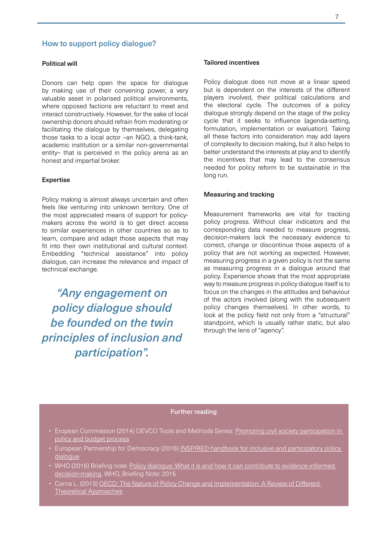### How to support policy dialogue?

#### Political will

Donors can help open the space for dialogue by making use of their convening power, a very valuable asset in polarised political environments, where opposed factions are reluctant to meet and interact constructively. However, for the sake of local ownership donors should refrain from moderating or facilitating the dialogue by themselves, delegating those tasks to a local actor –an NGO, a think-tank, academic institution or a similar non-governmental entity– that is perceived in the policy arena as an honest and impartial broker.

#### Expertise

Policy making is almost always uncertain and often feels like venturing into unknown territory. One of the most appreciated means of support for policymakers across the world is to get direct access to similar experiences in other countries so as to learn, compare and adapt those aspects that may fit into their own institutional and cultural context. Embedding "technical assistance" into policy dialogue, can increase the relevance and impact of technical exchange.

*"Any engagement on policy dialogue should be founded on the twin principles of inclusion and participation".* 

#### Tailored incentives

Policy dialogue does not move at a linear speed but is dependent on the interests of the different players involved, their political calculations and the electoral cycle. The outcomes of a policy dialogue strongly depend on the stage of the policy cycle that it seeks to influence (agenda-setting, formulation, implementation or evaluation). Taking all these factors into consideration may add layers of complexity to decision making, but it also helps to better understand the interests at play and to identify the incentives that may lead to the consensus needed for policy reform to be sustainable in the long run.

#### Measuring and tracking

Measurement frameworks are vital for tracking policy progress. Without clear indicators and the corresponding data needed to measure progress, decision-makers lack the necessary evidence to correct, change or discontinue those aspects of a policy that are not working as expected. However, measuring progress in a given policy is not the same as measuring progress in a dialogue around that policy. Experience shows that the most appropriate way to measure progress in policy dialogue itself is to focus on the changes in the attitudes and behaviour of the actors involved (along with the subsequent policy changes themselves). In other words, to look at the policy field not only from a "structural" standpoint, which is usually rather static, but also through the lens of "agency".

- Eropean Commission (2014) DEVCO Tools and Methods Series: [Promoting civil society participation in](https://europa.eu/capacity4dev/public-governance-civilsociety/documents/promoting-civil-society-participation-policy-and-budget-processes-0)  [policy and budget process](https://europa.eu/capacity4dev/public-governance-civilsociety/documents/promoting-civil-society-participation-policy-and-budget-processes-0)
- European Partnership for Democracy (2015) INSPIRED handbook for inclusive and participatory policy [dialogue](https://epd.eu/inspired/)
- [WHO \(2015\) Briefing note:](https://epd.eu/inspired/) Policy dialogue: What it is and how it can contribute to evidence-informed [decision-making](https://www.who.int/alliance-hpsr/news/2015/dialoguebrief/en/), WHO, Briefing Note: 2015
- Carna L. (2013) OECD: The Nature of Policy Change and Implementation: A Review of Different [Theoretical Approaches](http://www.oecd.org/education/ceri/The%20Nature%20of%20Policy%20Change%20and%20Implementation.pdf)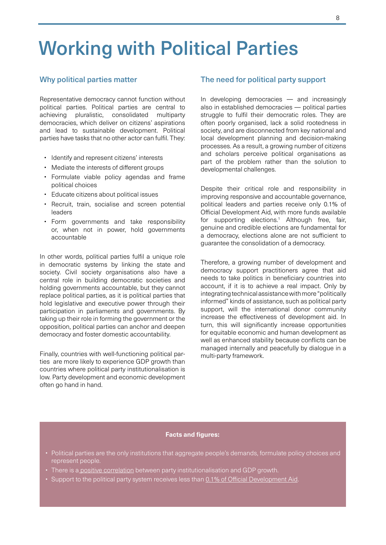# Working with Political Parties

### Why political parties matter

Representative democracy cannot function without political parties. Political parties are central to achieving pluralistic, consolidated multiparty democracies, which deliver on citizens' aspirations and lead to sustainable development. Political parties have tasks that no other actor can fulfil. They:

- Identify and represent citizens' interests
- Mediate the interests of different groups
- Formulate viable policy agendas and frame political choices
- Educate citizens about political issues
- Recruit, train, socialise and screen potential leaders
- Form governments and take responsibility or, when not in power, hold governments accountable

In other words, political parties fulfil a unique role in democratic systems by linking the state and society. Civil society organisations also have a central role in building democratic societies and holding governments accountable, but they cannot replace political parties, as it is political parties that hold legislative and executive power through their participation in parliaments and governments. By taking up their role in forming the government or the opposition, political parties can anchor and deepen democracy and foster domestic accountability.

Finally, countries with well-functioning political parties are more likely to experience GDP growth than countries where political party institutionalisation is low. Party development and economic development often go hand in hand.

#### The need for political party support

In developing democracies — and increasingly also in established democracies — political parties struggle to fulfil their democratic roles. They are often poorly organised, lack a solid rootedness in society, and are disconnected from key national and local development planning and decision-making processes. As a result, a growing number of citizens and scholars perceive political organisations as part of the problem rather than the solution to developmental challenges.

Despite their critical role and responsibility in improving responsive and accountable governance, political leaders and parties receive only 0.1% of Official Development Aid, with more funds available for supporting elections.<sup>1</sup> Although free, fair, genuine and credible elections are fundamental for a democracy, elections alone are not sufficient to guarantee the consolidation of a democracy.

Therefore, a growing number of development and democracy support practitioners agree that aid needs to take politics in beneficiary countries into account, if it is to achieve a real impact. Only by integrating technical assistance with more "politically informed" kinds of assistance, such as political party support, will the international donor community increase the effectiveness of development aid. In turn, this will significantly increase opportunities for equitable economic and human development as well as enhanced stability because conflicts can be managed internally and peacefully by dialogue in a multi-party framework.

- Political parties are the only institutions that aggregate people's demands, formulate policy choices and represent people.
- There is a [positive correlation](https://www.v-dem.net/media/filer_public/d3/67/d3673c5a-e206-42cf-94e1-ef0a26b63141/v-dem_working_paper_2015_10.pdf) between party institutionalisation and GDP growth.
- Support to the political party system receives less than [0.1% of Official Development Aid](https://www.idea.int/sites/default/files/publications/development-first-democracy-later.pdf).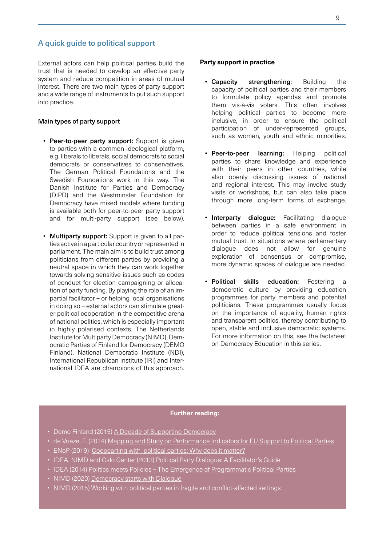# A quick guide to political support

External actors can help political parties build the trust that is needed to develop an effective party system and reduce competition in areas of mutual interest. There are two main types of party support and a wide range of instruments to put such support into practice.

#### Main types of party support

- Peer-to-peer party support: Support is given to parties with a common ideological platform, e.g. liberals to liberals, social democrats to social democrats or conservatives to conservatives. The German Political Foundations and the Swedish Foundations work in this way. The Danish Institute for Parties and Democracy (DIPD) and the Westminster Foundation for Democracy have mixed models where funding is available both for peer-to-peer party support and for multi-party support (see below).
- **Multiparty support:** Support is given to all parties active in a particular country or represented in parliament. The main aim is to build trust among politicians from different parties by providing a neutral space in which they can work together towards solving sensitive issues such as codes of conduct for election campaigning or allocation of party funding. By playing the role of an impartial facilitator – or helping local organisations in doing so – external actors can stimulate greater political cooperation in the competitive arena of national politics, which is especially important in highly polarised contexts. The Netherlands Institute for Multiparty Democracy (NIMD), Democratic Parties of Finland for Democracy (DEMO Finland), National Democratic Institute (NDI), International Republican Institute (IRI) and International IDEA are champions of this approach.

#### **Party support in practice**

- Capacity strengthening: Building the capacity of political parties and their members to formulate policy agendas and promote them vis-à-vis voters. This often involves helping political parties to become more inclusive, in order to ensure the political participation of under-represented groups, such as women, youth and ethnic minorities.
- Peer-to-peer learning: Helping political parties to share knowledge and experience with their peers in other countries, while also openly discussing issues of national and regional interest. This may involve study visits or workshops, but can also take place through more long-term forms of exchange.
- **Interparty dialogue:** Facilitating dialogue between parties in a safe environment in order to reduce political tensions and foster mutual trust. In situations where parliamentary dialogue does not allow for genuine exploration of consensus or compromise, more dynamic spaces of dialogue are needed.
- Political skills education: Fostering a democratic culture by providing education programmes for party members and potential politicians. These programmes usually focus on the importance of equality, human rights and transparent politics, thereby contributing to open, stable and inclusive democratic systems. For more information on this, see the factsheet on Democracy Education in this series.

- Demo Finland (2015) [A Decade of Supporting Democracy](http://demofinland.org/wp-content/uploads/2015/09/10_years_of_supporting_democracy_web.pdf)
- de Vrieze, F. (2014) [Mapping and Study on Performance Indicators for EU Support to Political Parties](https://www.epd.eu/wp-content/uploads/STUDYonPoliticalPartySupport20-02-2014.pdf)
- ENoP (2019) [Coopearting with political parties: Why does it matter?](http://www.enop.eu/cooperating-with-political-parties-why-does-it-matter/)
- IDEA, NIMD and Oslo Center (2013) [Political Party Dialogue: A Facilitator's Guide](https://epd.eu/wp-content/uploads/2016/01/NIMD-Political-Party-Dialogue-English.pdf)
- IDEA (2014) Politics meets Policies The Emergence of Programmatic Political Parties
- NIMD (2020) [Democracy starts with Dialogue](https://nimd.org/wp-content/uploads/2015/05/NIMD-Corporate-Brochure-final.pdf)
- NIMD (2015) [Working with political parties in fragile and conflict-affected settings](https://nimd.org/wp-content/uploads/2015/05/2015-04-Fragile-and-Conflict-Affected-Settings.pdf)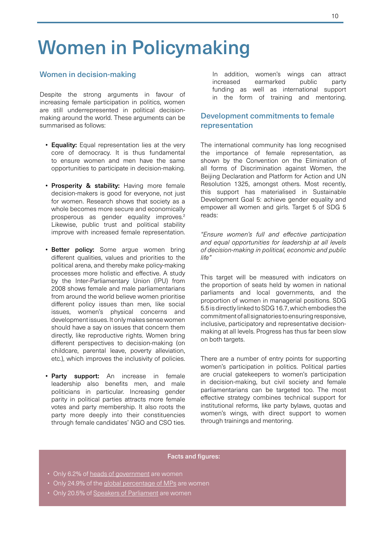# Women in Policymaking

# Women in decision-making

Despite the strong arguments in favour of increasing female participation in politics, women are still underrepresented in political decisionmaking around the world. These arguments can be summarised as follows:

- Equality: Equal representation lies at the very core of democracy. It is thus fundamental to ensure women and men have the same opportunities to participate in decision-making.
- Prosperity & stability: Having more female decision-makers is good for everyone, not just for women. Research shows that society as a whole becomes more secure and economically prosperous as gender equality improves.<sup>2</sup> Likewise, public trust and political stability improve with increased female representation.
- Better policy: Some argue women bring different qualities, values and priorities to the political arena, and thereby make policy-making processes more holistic and effective. A study by the Inter-Parliamentary Union (IPU) from 2008 shows female and male parliamentarians from around the world believe women prioritise different policy issues than men, like social issues, women's physical concerns and development issues. It only makes sense women should have a say on issues that concern them directly, like reproductive rights. Women bring different perspectives to decision-making (on childcare, parental leave, poverty alleviation, etc.), which improves the inclusivity of policies.
- Party support: An increase in female leadership also benefits men, and male politicians in particular. Increasing gender parity in political parties attracts more female votes and party membership. It also roots the party more deeply into their constituencies through female candidates' NGO and CSO ties.

In addition, women's wings can attract increased earmarked public party funding as well as international support in the form of training and mentoring.

# Development commitments to female representation

The international community has long recognised the importance of female representation, as shown by the Convention on the Elimination of all forms of Discrimination against Women, the Beijing Declaration and Platform for Action and UN Resolution 1325, amongst others. Most recently, this support has materialised in Sustainable Development Goal 5: achieve gender equality and empower all women and girls. Target 5 of SDG 5 reads:

*"Ensure women's full and effective participation and equal opportunities for leadership at all levels of decision-making in political, economic and public life"*

This target will be measured with indicators on the proportion of seats held by women in national parliaments and local governments, and the proportion of women in managerial positions. SDG 5.5 is directly linked to SDG 16.7, which embodies the commitment of all signatories to ensuring responsive, inclusive, participatory and representative decisionmaking at all levels. Progress has thus far been slow on both targets.

There are a number of entry points for supporting women's participation in politics. Political parties are crucial gatekeepers to women's participation in decision-making, but civil society and female parliamentarians can be targeted too. The most effective strategy combines technical support for institutional reforms, like party bylaws, quotas and women's wings, with direct support to women through trainings and mentoring.

- Only 6.2% of [heads of government](https://www.ipu.org/resources/publications/infographics/2020-03/women-in-politics-2020) are women
- Only [24.9%](https://www.ipu.org/our-impact/gender-equality) of the [global percentage of MP](https://www.ipu.org/resources/publications/infographics/2020-03/women-in-politics-2020)s are women
- Only 20.5% of [Speakers of Parliament](https://www.ipu.org/resources/publications/infographics/2020-03/women-in-politics-2020) are women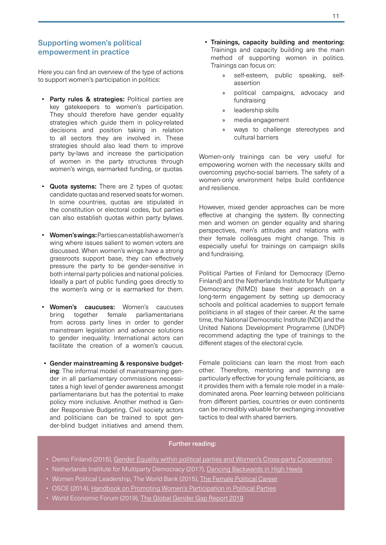# Supporting women's political empowerment in practice

Here you can find an overview of the type of actions to support women's participation in politics:

- Party rules & strategies: Political parties are key gatekeepers to women's participation. They should therefore have gender equality strategies which guide them in policy-related decisions and position taking in relation to all sectors they are involved in. These strategies should also lead them to improve party by-laws and increase the participation of women in the party structures through women's wings, earmarked funding, or quotas.
- Quota systems: There are 2 types of quotas: candidate quotas and reserved seats for women. In some countries, quotas are stipulated in the constitution or electoral codes, but parties can also establish quotas within party bylaws.
- Women's wings: Parties can establish a women's wing where issues salient to women voters are discussed. When women's wings have a strong grassroots support base, they can effectively pressure the party to be gender-sensitive in both internal party policies and national policies. Ideally a part of public funding goes directly to the women's wing or is earmarked for them.
- Women's caucuses: Women's caucuses bring together female parliamentarians from across party lines in order to gender mainstream legislation and advance solutions to gender inequality. International actors can facilitate the creation of a women's caucus.
- Gender mainstreaming & responsive budgeting: The informal model of mainstreaming gender in all parliamentary commissions necessitates a high level of gender awareness amongst parliamentarians but has the potential to make policy more inclusive. Another method is Gender Responsive Budgeting. Civil society actors and politicians can be trained to spot gender-blind budget initiatives and amend them.
- Trainings, capacity building and mentoring: Trainings and capacity building are the main method of supporting women in politics. Trainings can focus on:
	- » self-esteem, public speaking, selfassertion
	- » political campaigns, advocacy and fundraising
	- » leadership skills
	- » media engagement
	- » ways to challenge stereotypes and cultural barriers

Women-only trainings can be very useful for empowering women with the necessary skills and overcoming psycho-social barriers. The safety of a women-only environment helps build confidence and resilience.

However, mixed gender approaches can be more effective at changing the system. By connecting men and women on gender equality and sharing perspectives, men's attitudes and relations with their female colleagues might change. This is especially useful for trainings on campaign skills and fundraising.

Political Parties of Finland for Democracy (Demo Finland) and the Netherlands Institute for Multiparty Democracy (NIMD) base their approach on a long-term engagement by setting up democracy schools and political academies to support female politicians in all stages of their career. At the same time, the National Democratic Institute (NDI) and the United Nations Development Programme (UNDP) recommend adapting the type of trainings to the different stages of the electoral cycle.

Female politicians can learn the most from each other. Therefore, mentoring and twinning are particularly effective for young female politicians, as it provides them with a female role model in a maledominated arena. Peer learning between politicians from different parties, countries or even continents can be incredibly valuable for exchanging innovative tactics to deal with shared barriers.

- Demo Finland (2015), [Gender Equality within political parties and Women's Cross-party Cooperation](https://nimd.org/wp-content/uploads/2016/02/Gender_equality_within_political_parties_and_womens_crossparty_cooperation_English.pdf)
- Netherlands Institute for Multiparty Democracy (2017), [Dancing Backwards in High Heels](https://nimd.org/wp-content/uploads/2017/04/NIMD-Dancing-Backwards-in-High-Heels-spread-DEF-1.pdf)
- Women Political Leadership, The World Bank (2015), [The Female Political Career](https://www.womenpoliticalleaders.org/study/female-political-career/)
- OSCE (2014), [Handbook on Promoting Women's Participation in Political Parties](https://www.osce.org/odihr/120877)
- World Economic Forum (2019), [The Global Gender Gap Report 2019](https://www.weforum.org/reports/gender-gap-2020-report-100-years-pay-equality)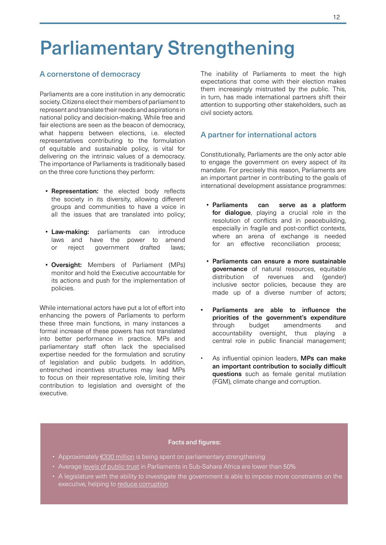# Parliamentary Strengthening

# A cornerstone of democracy

Parliaments are a core institution in any democratic society. Citizens elect their members of parliament to represent and translate their needs and aspirations in national policy and decision-making. While free and fair elections are seen as the beacon of democracy, what happens between elections, i.e. elected representatives contributing to the formulation of equitable and sustainable policy, is vital for delivering on the intrinsic values of a democracy. The importance of Parliaments is traditionally based on the three core functions they perform:

- Representation: the elected body reflects the society in its diversity, allowing different groups and communities to have a voice in all the issues that are translated into policy;
- Law-making: parliaments can introduce laws and have the power to amend or reject government drafted laws;
- Oversight: Members of Parliament (MPs) monitor and hold the Executive accountable for its actions and push for the implementation of policies.

While international actors have put a lot of effort into enhancing the powers of Parliaments to perform these three main functions, in many instances a formal increase of these powers has not translated into better performance in practice. MPs and parliamentary staff often lack the specialised expertise needed for the formulation and scrutiny of legislation and public budgets. In addition, entrenched incentives structures may lead MPs to focus on their representative role, limiting their contribution to legislation and oversight of the executive.

The inability of Parliaments to meet the high expectations that come with their election makes them increasingly mistrusted by the public. This, in turn, has made international partners shift their attention to supporting other stakeholders, such as civil society actors.

### A partner for international actors

Constitutionally, Parliaments are the only actor able to engage the government on every aspect of its mandate. For precisely this reason, Parliaments are an important partner in contributing to the goals of international development assistance programmes:

- Parliaments can serve as a platform for dialoque, playing a crucial role in the resolution of conflicts and in peacebuilding, especially in fragile and post-conflict contexts, where an arena of exchange is needed for an effective reconciliation process;
- Parliaments can ensure a more sustainable governance of natural resources, equitable distribution of revenues and (gender) inclusive sector policies, because they are made up of a diverse number of actors;
- Parliaments are able to influence the priorities of the government's expenditure through budget amendments and accountability oversight, thus playing a central role in public financial management;
- As influential opinion leaders. MPs can make an important contribution to socially difficult questions such as female genital mutilation (FGM), climate change and corruption.

- Approximately [€330 million](https://publications.parliament.uk/pa/cm201415/cmselect/cmintdev/704/704.pdf) is being spent on parliamentary strengthening
- Average [levels of public trust](https://democracy-reporting.org/dri_publications/report-global-mapping-and-analysis-of-parliamentary-strengthening-programs-2/) in Parliaments in Sub-Sahara Africa are lower than 50%
- A legislature with the ability to investigate the government is able to impose more constraints on the executive, helping to [reduce corruption](https://www.v-dem.net/media/filer_public/a4/5a/a45a57e4-5634-4510-8284-79bbba348484/v-dem_working_paper_2015_7.pdf)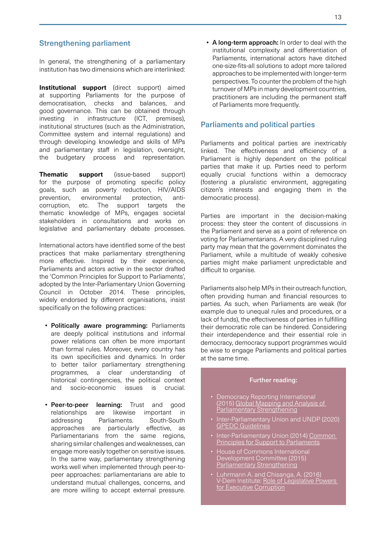# Strengthening parliament

In general, the strengthening of a parliamentary institution has two dimensions which are interlinked:

**Institutional support** (direct support) aimed at supporting Parliaments for the purpose of democratisation, checks and balances, and good governance. This can be obtained through investing in infrastructure (ICT, premises), institutional structures (such as the Administration, Committee system and internal regulations) and through developing knowledge and skills of MPs and parliamentary staff in legislation, oversight, the budgetary process and representation.

**Thematic support** (issue-based support) for the purpose of promoting specific policy goals, such as poverty reduction, HIV/AIDS prevention, environmental protection, anticorruption, etc. The support targets the thematic knowledge of MPs, engages societal stakeholders in consultations and works on legislative and parliamentary debate processes.

International actors have identified some of the best practices that make parliamentary strengthening more effective. Inspired by their experience, Parliaments and actors active in the sector drafted the 'Common Principles for Support to Parliaments', adopted by the Inter-Parliamentary Union Governing Council in October 2014. These principles, widely endorsed by different organisations, insist specifically on the following practices:

- Politically aware programming: Parliaments are deeply political institutions and informal power relations can often be more important than formal rules. Moreover, every country has its own specificities and dynamics. In order to better tailor parliamentary strengthening programmes, a clear understanding of historical contingencies, the political context and socio-economic issues is crucial.
- Peer-to-peer learning: Trust and good relationships are likewise important in addressing Parliaments. South-South approaches are particularly effective, as Parliamentarians from the same regions, sharing similar challenges and weaknesses, can engage more easily together on sensitive issues. In the same way, parliamentary strengthening works well when implemented through peer-topeer approaches: parliamentarians are able to understand mutual challenges, concerns, and are more willing to accept external pressure.

• A long-term approach: In order to deal with the institutional complexity and differentiation of Parliaments, international actors have ditched one-size-fits-all solutions to adopt more tailored approaches to be implemented with longer-term perspectives. To counter the problem of the high turnover of MPs in many development countries, practitioners are including the permanent staff of Parliaments more frequently.

# Parliaments and political parties

Parliaments and political parties are inextricably linked. The effectiveness and efficiency of a Parliament is highly dependent on the political parties that make it up. Parties need to perform equally crucial functions within a democracy (fostering a pluralistic environment, aggregating citizen's interests and engaging them in the democratic process).

Parties are important in the decision-making process: they steer the content of discussions in the Parliament and serve as a point of reference on voting for Parliamentarians. A very disciplined ruling party may mean that the government dominates the Parliament, while a multitude of weakly cohesive parties might make parliament unpredictable and difficult to organise.

Parliaments also help MPs in their outreach function, often providing human and financial resources to parties. As such, when Parliaments are weak (for example due to unequal rules and procedures, or a lack of funds), the effectiveness of parties in fulfilling their democratic role can be hindered. Considering their interdependence and their essential role in democracy, democracy support programmes would be wise to engage Parliaments and political parties at the same time.

- Democracy Reporting International (2015) [Global Mapping and Analysis of](https://democracy-reporting.org/dri_publications/report-global-mapping-and-analysis-of-parliamentary-strengthening-programs-2/)  [Parliamentary Strengthening](https://democracy-reporting.org/dri_publications/report-global-mapping-and-analysis-of-parliamentary-strengthening-programs-2/)
- Inter-Parliamentary Union and UNDP (2020) [GPEDC Guidelines](https://www.ipu.org/resources/publications/handbooks/2020-09/guidelines-enhancing-engagement-and-contribution-parliaments-effective-development-cooperation)
- Inter-Parliamentary Union (2014) Common **[Principles for Support to Parliaments](https://www.ipu.org/our-impact/strong-parliaments/setting-standards/common-principles-support-parliaments)**
- House of Commons International Development Committee (2015) [Parliamentary Strengthening](https://publications.parliament.uk/pa/cm201415/cmselect/cmintdev/704/70405.htm)
- Luhrmann A. and Chisanga, A. (2016) V-Dem Institute: Role of Legislative Powers [for Executive Corruption](https://www.v-dem.net/media/filer_public/15/55/1555da33-9a2f-4b22-9282-c97e97a65951/v-dem_policybrief_3_2016.pdf)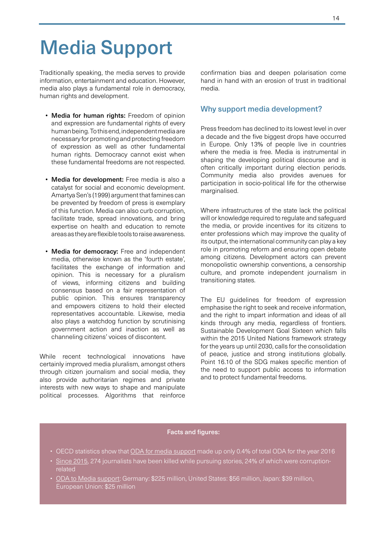# Media Support

Traditionally speaking, the media serves to provide information, entertainment and education. However, media also plays a fundamental role in democracy, human rights and development.

- Media for human rights: Freedom of opinion and expression are fundamental rights of every human being. To this end, independent media are necessary for promoting and protecting freedom of expression as well as other fundamental human rights. Democracy cannot exist when these fundamental freedoms are not respected.
- Media for development: Free media is also a catalyst for social and economic development. Amartya Sen's (1999) argument that famines can be prevented by freedom of press is exemplary of this function. Media can also curb corruption, facilitate trade, spread innovations, and bring expertise on health and education to remote areas as they are flexible tools to raise awareness.
- Media for democracy: Free and independent media, otherwise known as the 'fourth estate', facilitates the exchange of information and opinion. This is necessary for a pluralism of views, informing citizens and building consensus based on a fair representation of public opinion. This ensures transparency and empowers citizens to hold their elected representatives accountable. Likewise, media also plays a watchdog function by scrutinising government action and inaction as well as channeling citizens' voices of discontent.

While recent technological innovations have certainly improved media pluralism, amongst others through citizen journalism and social media, they also provide authoritarian regimes and private interests with new ways to shape and manipulate political processes. Algorithms that reinforce

confirmation bias and deepen polarisation come hand in hand with an erosion of trust in traditional media.

### Why support media development?

Press freedom has declined to its lowest level in over a decade and the five biggest drops have occurred in Europe. Only 13% of people live in countries where the media is free. Media is instrumental in shaping the developing political discourse and is often critically important during election periods. Community media also provides avenues for participation in socio-political life for the otherwise marginalised.

Where infrastructures of the state lack the political will or knowledge required to regulate and safeguard the media, or provide incentives for its citizens to enter professions which may improve the quality of its output, the international community can play a key role in promoting reform and ensuring open debate among citizens. Development actors can prevent monopolistic ownership conventions, a censorship culture, and promote independent journalism in transitioning states.

The EU guidelines for freedom of expression emphasise the right to seek and receive information, and the right to impart information and ideas of all kinds through any media, regardless of frontiers. Sustainable Development Goal Sixteen which falls within the 2015 United Nations framework strategy for the years up until 2030, calls for the consolidation of peace, justice and strong institutions globally. Point 16.10 of the SDG makes specific mention of the need to support public access to information and to protect fundamental freedoms.

- OECD statistics show that [ODA for media support](https://www.oecd.org/dac/conflict-fragility-resilience/docs/CIMA.pdf) made up only 0.4% of total ODA for the year 2016
- [Since 2015](https://cpj.org/data/killed/?status=Killed&motiveConfirmed%5B%5D=Confirmed&type%5B%5D=Journalist&start_year=1992&end_year=2020&group_by=year), 274 journalists have been killed while pursuing stories, 24% of which were corruptionrelated
- [ODA to Media support:](https://www.oecd.org/dac/conflict-fragility-resilience/docs/CIMA.pdf) Germany: \$225 million, United States: \$56 million, Japan: \$39 million, European Union: \$25 million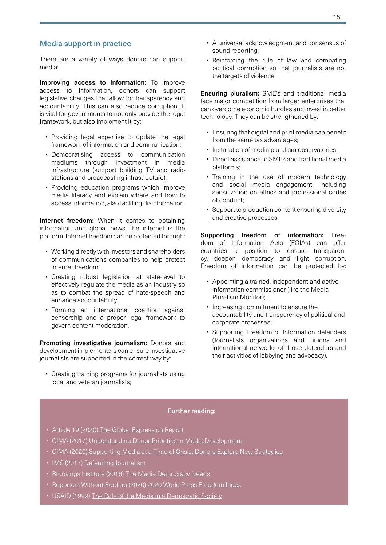# Media support in practice

There are a variety of ways donors can support media:

Improving access to information: To improve access to information, donors can support legislative changes that allow for transparency and accountability. This can also reduce corruption. It is vital for governments to not only provide the legal framework, but also implement it by:

- Providing legal expertise to update the legal framework of information and communication;
- Democratising access to communication mediums through investment in media infrastructure (support building TV and radio stations and broadcasting infrastructure);
- Providing education programs which improve media literacy and explain where and how to access information, also tackling disinformation.

Internet freedom: When it comes to obtaining information and global news, the internet is the platform. Internet freedom can be protected through:

- Working directly with investors and shareholders of communications companies to help protect internet freedom;
- Creating robust legislation at state-level to effectively regulate the media as an industry so as to combat the spread of hate-speech and enhance accountability;
- Forming an international coalition against censorship and a proper legal framework to govern content moderation.

Promoting investigative journalism: Donors and development implementers can ensure investigative journalists are supported in the correct way by:

• Creating training programs for journalists using local and veteran journalists:

- A universal acknowledgment and consensus of sound reporting;
- Reinforcing the rule of law and combating political corruption so that journalists are not the targets of violence.

Ensuring pluralism: SME's and traditional media face major competition from larger enterprises that can overcome economic hurdles and invest in better technology. They can be strengthened by:

- Ensuring that digital and print media can benefit from the same tax advantages;
- Installation of media pluralism observatories;
- Direct assistance to SMEs and traditional media platforms;
- Training in the use of modern technology and social media engagement, including sensitization on ethics and professional codes of conduct;
- Support to production content ensuring diversity and creative processes.

Supporting freedom of information: Freedom of Information Acts (FOIAs) can offer countries a position to ensure transparency, deepen democracy and fight corruption. Freedom of information can be protected by:

- Appointing a trained, independent and active information commissioner (like the Media Pluralism Monitor);
- Increasing commitment to ensure the accountability and transparency of political and corporate processes;
- Supporting Freedom of Information defenders (Journalists organizations and unions and international networks of those defenders and their activities of lobbying and advocacy).

- Article 19 (2020) [The Global Expression Report](https://www.article19.org/wp-content/uploads/2020/10/GxR2019-20report.pdf)
- CIMA (2017) [Understanding Donor Priorities in Media Development](https://www.cima.ned.org/publication/slowly-shifting-field/)
- CIMA (2020) [Supporting Media at a Time of Crisis: Donors Explore New Strategies](https://www.cima.ned.org/publication/supporting-media-at-a-time-of-crisis-donors-explore-new-strategies/)
- IMS (2017) [Defending Journalism](https://www.mediasupport.org/wp-content/uploads/2017/10/1_Journalist-Protection-Book-Digital-1.pdf)
- Brookings Institute (2016) [The Media Democracy Needs](https://www.brookings.edu/research/the-media-democracy-needs-and-deserves-a-response-to-seven-trends-in-old-and-new-media/)
- Reporters Without Borders (2020) [2020 World Press Freedom Index](https://rsf.org/en/2020-world-press-freedom-index-entering-decisive-decade-journalism-exacerbated-coronavirus)
- USAID (1999) [The Role of the Media in a Democratic Society](https://gsdrc.org/document-library/the-role-of-media-in-democracy-a-strategic-approach/)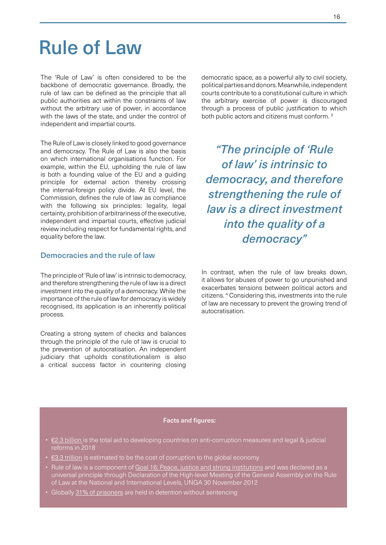# Rule of Law

The 'Rule of Law' is often considered to be the backbone of democratic governance. Broadly, the rule of law can be defined as the principle that all public authorities act within the constraints of law without the arbitrary use of power, in accordance with the laws of the state, and under the control of independent and impartial courts.

The Rule of Law is closely linked to good governance and democracy. The Rule of Law is also the basis on which international organisations function. For example, within the EU, upholding the rule of law is both a founding value of the EU and a guiding principle for external action thereby crossing the internal-foreign policy divide. At EU level, the Commission, defines the rule of law as compliance with the following six principles: legality, legal certainty, prohibition of arbitrariness of the executive, independent and impartial courts, effective judicial review including respect for fundamental rights, and equality before the law.

# Democracies and the rule of law

The principle of 'Rule of law' is intrinsic to democracy, and therefore strengthening the rule of law is a direct investment into the quality of a democracy. While the importance of the rule of law for democracy is widely recognised, its application is an inherently political process.

Creating a strong system of checks and balances through the principle of the rule of law is crucial to the prevention of autocratisation. An independent judiciary that upholds constitutionalism is also a critical success factor in countering closing

democratic space, as a powerful ally to civil society, political parties and donors. Meanwhile, independent courts contribute to a constitutional culture in which the arbitrary exercise of power is discouraged through a process of public justification to which both public actors and citizens must conform.<sup>3</sup>

*"The principle of 'Rule of law' is intrinsic to democracy, and therefore strengthening the rule of law is a direct investment into the quality of a democracy"*

In contrast, when the rule of law breaks down, it allows for abuses of power to go unpunished and exacerbates tensions between political actors and citizens. 4 Considering this, investments into the rule of law are necessary to prevent the growing trend of autocratisation.

- [€2.3 billion](https://stats.oecd.org/qwids/) is the total aid to developing countries on anti-corruption measures and legal & judicial reforms in 2018
- [€3.3 trillion](https://www.weforum.org/agenda/2018/12/the-global-economy-loses-3-6-trillion-to-corruption-each-year-says-u-n) is estimated to be the cost of corruption to the global economy
- Rule of law is a component of [Goal 16: Peace, justice and strong institutions](https://www.un.org/sustainabledevelopment/peace-justice/) and was declared as a universal principle through Declaration of the High-level Meeting of the General Assembly on the Rule of Law at the National and International Levels, UNGA 30 November 2012
- Globally [31% of prisoners](https://www.un.org/sustainabledevelopment/peace-justice/) are held in detention without sentencing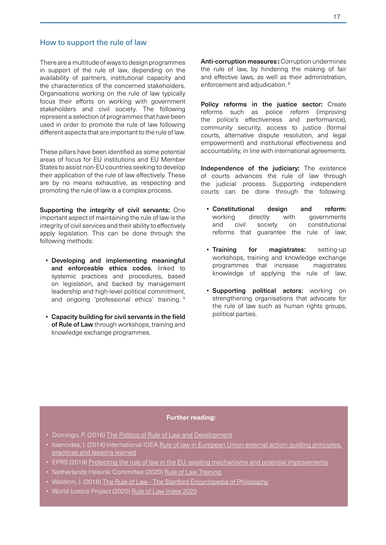### How to support the rule of law

There are a multitude of ways to design programmes in support of the rule of law, depending on the availability of partners, institutional capacity and the characteristics of the concerned stakeholders. Organisations working on the rule of law typically focus their efforts on working with government stakeholders and civil society. The following represent a selection of programmes that have been used in order to promote the rule of law following different aspects that are important to the rule of law.

These pillars have been identified as some potential areas of focus for EU institutions and EU Member States to assist non-EU countries seeking to develop their application of the rule of law effectively. These are by no means exhaustive, as respecting and promoting the rule of law is a complex process.

Supporting the integrity of civil servants: One important aspect of maintaining the rule of law is the integrity of civil services and their ability to effectively apply legislation. This can be done through the following methods:

- Developing and implementing meaningful and enforceable ethics codes, linked to systemic practices and procedures, based on legislation, and backed by management leadership and high-level political commitment, and ongoing 'professional ethics' training. 5
- Capacity building for civil servants in the field of Rule of Law through workshops, training and knowledge exchange programmes.

Anti-corruption measures **:** Corruption undermines the rule of law, by hindering the making of fair and effective laws, as well as their administration, enforcement and adjudication.<sup>6</sup>

Policy reforms in the justice sector: Create reforms such as police reform (improving the police's effectiveness and performance), community security, access to justice (formal courts, alternative dispute resolution, and legal empowerment) and institutional effectiveness and accountability, in line with international agreements.

Independence of the judiciary: The existence of courts advances the rule of law through the judicial process. Supporting independent courts can be done through the following:

- Constitutional design and reform: working directly with governments and civil society on constitutional reforms that guarantee the rule of law;
- Training for magistrates: setting-up workshops, training and knowledge exchange programmes that increase magistrates knowledge of applying the rule of law;
- Supporting political actors: working on strengthening organisations that advocate for the rule of law such as human rights groups, political parties.

- Domingo, P, (2016) [The Politics of Rule of Law and Development](https://www.odi.org/publications/10376-rule-law-politics-and-development-politics-rule-law-reform)
- Ioannides, I. (2014) International IDEA [Rule of law in European Union external action: guiding principles,](https://www.idea.int/sites/default/files/publications/rule-of-law-in-european-union-external-action.pdf)  [practices and lessons learned](https://www.idea.int/sites/default/files/publications/rule-of-law-in-european-union-external-action.pdf)
- EPRS (2019) [Protecting the rule of law in the EU: existing mechanisms and potential improvements](https://www.europarl.europa.eu/thinktank/en/document.html?reference=EPRS_BRI(2019)642280)
- Netherlands Helsinki Committee (2020) [Rule of Law Training](https://www.nhc.nl/programmes/integrity-and-accountability/matrarolt/)
- Waldron, J. (2016) [The Rule of Law The Stanford Encyclopedia of Philosophy](https://plato.stanford.edu/entries/rule-of-law/)
- World Justice Project (2020) [Rule of Law Index 2020](https://worldjusticeproject.org/our-work/research-and-data/wjp-rule-law-index-2020)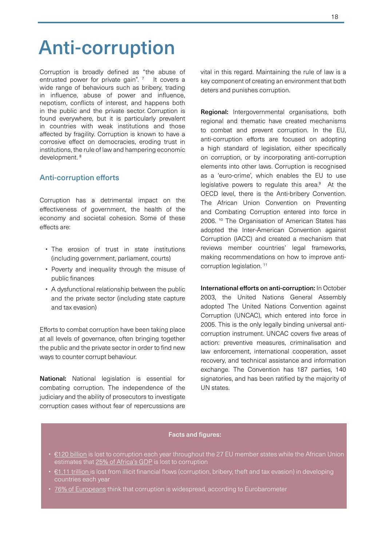# Anti-corruption

Corruption is broadly defined as "the abuse of entrusted power for private gain". 7 It covers a wide range of behaviours such as bribery, trading in influence, abuse of power and influence, nepotism, conflicts of interest, and happens both in the public and the private sector. Corruption is found everywhere, but it is particularly prevalent in countries with weak institutions and those affected by fragility. Corruption is known to have a corrosive effect on democracies, eroding trust in institutions, the rule of law and hampering economic development. 8

# Anti-corruption efforts

Corruption has a detrimental impact on the effectiveness of government, the health of the economy and societal cohesion. Some of these effects are:

- The erosion of trust in state institutions (including government, parliament, courts)
- Poverty and inequality through the misuse of public finances
- A dysfunctional relationship between the public and the private sector (including state capture and tax evasion)

Efforts to combat corruption have been taking place at all levels of governance, often bringing together the public and the private sector in order to find new ways to counter corrupt behaviour.

National: National legislation is essential for combating corruption. The independence of the judiciary and the ability of prosecutors to investigate corruption cases without fear of repercussions are

vital in this regard. Maintaining the rule of law is a key component of creating an environment that both deters and punishes corruption.

Regional: Intergovernmental organisations, both regional and thematic have created mechanisms to combat and prevent corruption. In the EU, anti-corruption efforts are focused on adopting a high standard of legislation, either specifically on corruption, or by incorporating anti-corruption elements into other laws. Corruption is recognised as a 'euro-crime', which enables the EU to use legislative powers to regulate this area.<sup>9</sup> At the OECD level, there is the Anti-bribery Convention. The African Union Convention on Preventing and Combating Corruption entered into force in 2006. 10 The Organisation of American States has adopted the Inter-American Convention against Corruption (IACC) and created a mechanism that reviews member countries' legal frameworks, making recommendations on how to improve anticorruption legislation.<sup>11</sup>

International efforts on anti-corruption: In October 2003, the United Nations General Assembly adopted The United Nations Convention against Corruption (UNCAC), which entered into force in 2005. This is the only legally binding universal anticorruption instrument. UNCAC covers five areas of action: preventive measures, criminalisation and law enforcement, international cooperation, asset recovery, and technical assistance and information exchange. The Convention has 187 parties, 140 signatories, and has been ratified by the majority of UN states.

- [€120 billion](https://euobserver.com/justice/119300) is lost to corruption each year throughout the 27 EU member states while the African Union estimates that [25% of Africa's GDP](https://www.unodc.org/e4j/en/anti-corruption/module-1/key-issues/effects-of-corruption.html ) is lost to corruption
- [€1.11 trillion](https://www.transparency.org.uk/corruption/corruption-statistics/ ) is lost from illicit financial flows (corruption, bribery, theft and tax evasion) in developing countries each year
- [76% of Europeans](https://ec.europa.eu/home-affairs/what-we-do/policies/organized-crime-and-human-trafficking/corruption/anti-corruption-report_en ) think that corruption is widespread, according to Eurobarometer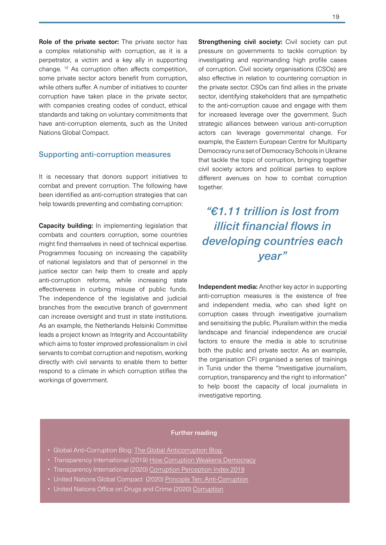Role of the private sector: The private sector has a complex relationship with corruption, as it is a perpetrator, a victim and a key ally in supporting change. 12 As corruption often affects competition, some private sector actors benefit from corruption, while others suffer. A number of initiatives to counter corruption have taken place in the private sector, with companies creating codes of conduct, ethical standards and taking on voluntary commitments that have anti-corruption elements, such as the United Nations Global Compact.

### Supporting anti-corruption measures

It is necessary that donors support initiatives to combat and prevent corruption. The following have been identified as anti-corruption strategies that can help towards preventing and combating corruption:

Capacity building: In implementing legislation that combats and counters corruption, some countries might find themselves in need of technical expertise. Programmes focusing on increasing the capability of national legislators and that of personnel in the justice sector can help them to create and apply anti-corruption reforms, while increasing state effectiveness in curbing misuse of public funds. The independence of the legislative and judicial branches from the executive branch of government can increase oversight and trust in state institutions. As an example, the Netherlands Helsinki Committee leads a project known as Integrity and Accountability which aims to foster improved professionalism in civil servants to combat corruption and nepotism, working directly with civil servants to enable them to better respond to a climate in which corruption stifles the workings of government.

Strengthening civil society: Civil society can put pressure on governments to tackle corruption by investigating and reprimanding high profile cases of corruption. Civil society organisations (CSOs) are also effective in relation to countering corruption in the private sector. CSOs can find allies in the private sector, identifying stakeholders that are sympathetic to the anti-corruption cause and engage with them for increased leverage over the government. Such strategic alliances between various anti-corruption actors can leverage governmental change. For example, the Eastern European Centre for Multiparty Democracy runs set of Democracy Schools in Ukraine that tackle the topic of corruption, bringing together civil society actors and political parties to explore different avenues on how to combat corruption together.

# *"€1.11 trillion is lost from illicit financial flows in developing countries each year"*

Independent media: Another key actor in supporting anti-corruption measures is the existence of free and independent media, who can shed light on corruption cases through investigative journalism and sensitising the public. Pluralism within the media landscape and financial independence are crucial factors to ensure the media is able to scrutinise both the public and private sector. As an example, the organisation CFI organised a series of trainings in Tunis under the theme "Investigative journalism, corruption, transparency and the right to information" to help boost the capacity of local journalists in investigative reporting.

- Global Anti-Corruption Blog: [The Global Anticorruption](https://globalanticorruptionblog.com) Blog
- Transparency International (2019) [How Corruption Weakens Democracy](https://www.transparency.org/en/news/cpi-2018-global-analysis)
- Transparency International (2020) [Corruption Perception Index 2019](https://www.transparency.org/en/publications/corruption-perceptions-index-2019)
- United Nations Global Compact (2020) [Principle Ten: Anti-Corruption](https://www.unglobalcompact.org/what-is-gc/mission/principles/principle-10)
- United Nations Office on Drugs and Crime (2020) [Corruption](https://www.unodc.org/unodc/en/data-and-analysis/corruption.html)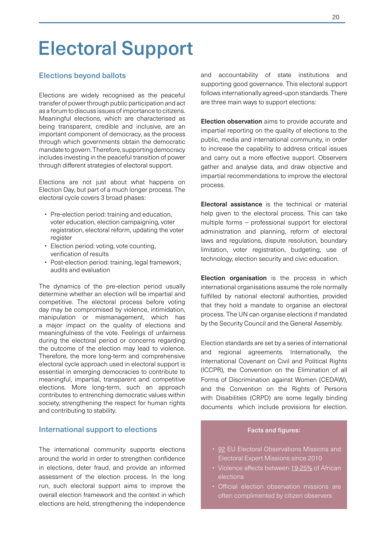# Electoral Support

# Elections beyond ballots

Elections are widely recognised as the peaceful transfer of power through public participation and act as a forum to discuss issues of importance to citizens. Meaningful elections, which are characterised as being transparent, credible and inclusive, are an important component of democracy, as the process through which governments obtain the democratic mandate to govern. Therefore, supporting democracy includes investing in the peaceful transition of power through different strategies of electoral support.

Elections are not just about what happens on Election Day, but part of a much longer process. The electoral cycle covers 3 broad phases:

- Pre-election period: training and education, voter education, election campaigning, voter registration, electoral reform, updating the voter register
- Election period: voting, vote counting, verification of results
- Post-election period: training, legal framework, audits and evaluation

The dynamics of the pre-election period usually determine whether an election will be impartial and competitive. The electoral process before voting day may be compromised by violence, intimidation, manipulation or mismanagement, which has a major impact on the quality of elections and meaningfulness of the vote. Feelings of unfairness during the electoral period or concerns regarding the outcome of the election may lead to violence. Therefore, the more long-term and comprehensive electoral cycle approach used in electoral support is essential in emerging democracies to contribute to meaningful, impartial, transparent and competitive elections. More long-term, such an approach contributes to entrenching democratic values within society, strengthening the respect for human rights and contributing to stability.

#### International support to elections

The international community supports elections around the world in order to strengthen confidence in elections, deter fraud, and provide an informed assessment of the election process. In the long run, such electoral support aims to improve the overall election framework and the context in which elections are held, strengthening the independence

and accountability of state institutions and supporting good governance. This electoral support follows internationally agreed-upon standards. There are three main ways to support elections:

Election observation aims to provide accurate and impartial reporting on the quality of elections to the public, media and international community, in order to increase the capability to address critical issues and carry out a more effective support. Observers gather and analyse data, and draw objective and impartial recommendations to improve the electoral process.

Electoral assistance is the technical or material help given to the electoral process. This can take multiple forms – professional support for electoral administration and planning, reform of electoral laws and regulations, dispute resolution, boundary limitation, voter registration, budgeting, use of technology, election security and civic education.

Election organisation is the process in which international organisations assume the role normally fulfilled by national electoral authorities, provided that they hold a mandate to organise an electoral process. The UN can organise elections if mandated by the Security Council and the General Assembly.

Election standards are set by a series of international and regional agreements. Internationally, the International Covenant on Civil and Political Rights (ICCPR), the Convention on the Elimination of all Forms of Discrimination against Women (CEDAW), and the Convention on the Rights of Persons with Disabilities (CRPD) are some legally binding documents which include provisions for election.

- [92](https://eeas.europa.eu/topics/election-observation-missions-eueoms_en) EU Electoral Observations Missions and Electoral Expert Missions since 2010
- Violence affects between [19-25%](https://www.ifes.org/sites/default/files/elections_worth_dying_for_-_a_selection_of_case_studies_from_africa_final2.pdf) of African elections
- Official election observation missions are often complimented by citizen observers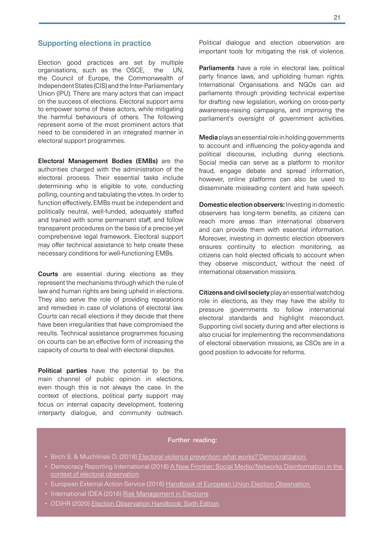## Supporting elections in practice

Election good practices are set by multiple organisations, such as the OSCE, the UN, the Council of Europe, the Commonwealth of Independent States (CIS) and the Inter-Parliamentary Union (IPU). There are many actors that can impact on the success of elections. Electoral support aims to empower some of these actors, while mitigating the harmful behaviours of others. The following represent some of the most prominent actors that need to be considered in an integrated manner in electoral support programmes.

Electoral Management Bodies (EMBs) are the authorities charged with the administration of the electoral process. Their essential tasks include determining who is eligible to vote, conducting polling, counting and tabulating the votes. In order to function effectively, EMBs must be independent and politically neutral, well-funded, adequately staffed and trained with some permanent staff, and follow transparent procedures on the basis of a precise yet comprehensive legal framework. Electoral support may offer technical assistance to help create these necessary conditions for well-functioning EMBs.

Courts are essential during elections as they represent the mechanisms through which the rule of law and human rights are being upheld in elections. They also serve the role of providing reparations and remedies in case of violations of electoral law. Courts can recall elections if they decide that there have been irregularities that have compromised the results. Technical assistance programmes focusing on courts can be an effective form of increasing the capacity of courts to deal with electoral disputes.

Political parties have the potential to be the main channel of public opinion in elections, even though this is not always the case. In the context of elections, political party support may focus on internal capacity development, fostering interparty dialogue, and community outreach. Political dialogue and election observation are important tools for mitigating the risk of violence.

Parliaments have a role in electoral law, political party finance laws, and upholding human rights. International Organisations and NGOs can aid parliaments through providing technical expertise for drafting new legislation, working on cross-party awareness-raising campaigns, and improving the parliament's oversight of government activities.

Media plays an essential role in holding governments to account and influencing the policy-agenda and political discourse, including during elections. Social media can serve as a platform to monitor fraud, engage debate and spread information, however, online platforms can also be used to disseminate misleading content and hate speech.

Domestic election observers: Investing in domestic observers has long-term benefits, as citizens can reach more areas than international observers and can provide them with essential information. Moreover, investing in domestic election observers ensures continuity to election monitoring, as citizens can hold elected officials to account when they observe misconduct, without the need of international observation missions.

Citizens and civil society play an essential watchdog role in elections, as they may have the ability to pressure governments to follow international electoral standards and highlight misconduct. Supporting civil society during and after elections is also crucial for implementing the recommendations of electoral observation missions, as CSOs are in a good position to advocate for reforms.

- Birch S. & Muchlinski D. (2018[\) Electoral violence prevention: what works?](https://www.tandfonline.com/doi/full/10.1080/13510347.2017.1365841?scroll=top&needAccess=true) Democratization
- Democracy Reporting International (2018) [A New Frontier: Social Media/Networks Disinformation in the](https://democracy-reporting.org/wp-content/uploads/2018/10/A-new-frontier_social-media_election-observation_Briefing-Paper-by-Michael-Meyer-Resende.pdf)  [context of electoral observation](https://democracy-reporting.org/wp-content/uploads/2018/10/A-new-frontier_social-media_election-observation_Briefing-Paper-by-Michael-Meyer-Resende.pdf)
- European External Action Service (2016) Handbook of European Union Election Observation
- International IDEA (2016) [Risk Management in Elections](https://www.idea.int/sites/default/files/publications/risk-management-in-elections.pdf)
- ODIHR (2020) [Election Observation Handbook: Sixth Edition](https://www.osce.org/odihr/elections/68439)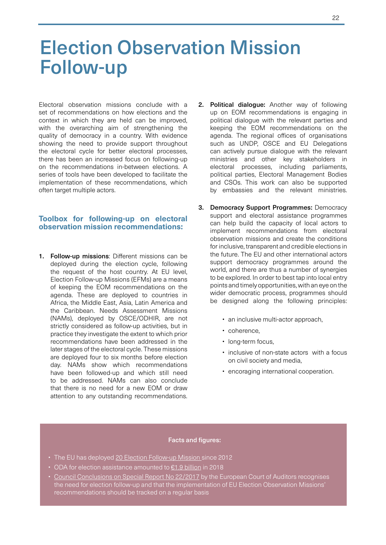# Election Observation Mission Follow-up

Electoral observation missions conclude with a set of recommendations on how elections and the context in which they are held can be improved, with the overarching aim of strengthening the quality of democracy in a country. With evidence showing the need to provide support throughout the electoral cycle for better electoral processes, there has been an increased focus on following-up on the recommendations in-between elections. A series of tools have been developed to facilitate the implementation of these recommendations, which often target multiple actors.

#### **Toolbox for following-up on electoral observation mission recommendations:**

1. Follow-up missions: Different missions can be deployed during the election cycle, following the request of the host country. At EU level, Election Follow-up Missions (EFMs) are a means of keeping the EOM recommendations on the agenda. These are deployed to countries in Africa, the Middle East, Asia, Latin America and the Caribbean. Needs Assessment Missions (NAMs), deployed by OSCE/ODHIR, are not strictly considered as follow-up activities, but in practice they investigate the extent to which prior recommendations have been addressed in the later stages of the electoral cycle. These missions are deployed four to six months before election day. NAMs show which recommendations have been followed-up and which still need to be addressed. NAMs can also conclude that there is no need for a new EOM or draw attention to any outstanding recommendations.

- 2. Political dialogue: Another way of following up on EOM recommendations is engaging in political dialogue with the relevant parties and keeping the EOM recommendations on the agenda. The regional offices of organisations such as UNDP, OSCE and EU Delegations can actively pursue dialogue with the relevant ministries and other key stakeholders in electoral processes, including parliaments, political parties, Electoral Management Bodies and CSOs. This work can also be supported by embassies and the relevant ministries.
- 3. Democracy Support Programmes: Democracy support and electoral assistance programmes can help build the capacity of local actors to implement recommendations from electoral observation missions and create the conditions for inclusive, transparent and credible elections in the future. The EU and other international actors support democracy programmes around the world, and there are thus a number of synergies to be explored. In order to best tap into local entry points and timely opportunities, with an eye on the wider democratic process, programmes should be designed along the following principles:
	- an inclusive multi-actor approach.
	- coherence,
	- long-term focus,
	- inclusive of non-state actors with a focus on civil society and media,
	- encoraging international cooperation.

- The EU has deployed [20 Election Follow-up Mission](https://ec.europa.eu/info/strategy/relations-non-eu-countries/types-relations-and-partnerships/election-observation/mission-recommendations-repository/search) since 2012
- ODA for election assistance amounted to [€1.9 billion](https://stats.oecd.org/qwids/#?x=1&y=6&f=4:0,2:0,3:0,5:0,7:0&q=1:2+2:1+4:1+5:3+3:51+6:2014,2015,2016,2017,2018,2019+7:1) in 2018
- [Council Conclusions on Special Report No 22/2017](https://www.consilium.europa.eu/media/35381/st09121-en18.pdf) by the European Court of Auditors recognises the need for election follow-up and that the implementation of EU Election Observation Missions' recommendations should be tracked on a regular basis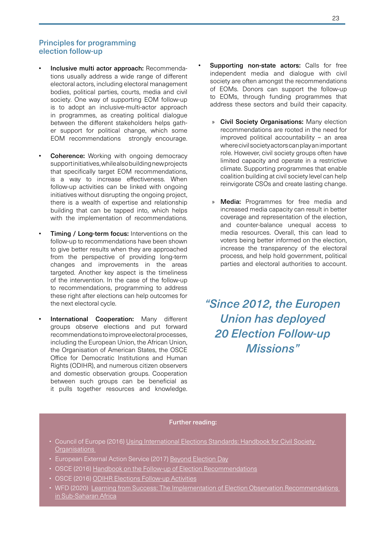# Principles for programming election follow-up

- Inclusive multi actor approach: Recommendations usually address a wide range of different electoral actors, including electoral management bodies, political parties, courts, media and civil society. One way of supporting EOM follow-up is to adopt an inclusive-multi-actor approach in programmes, as creating political dialogue between the different stakeholders helps gather support for political change, which some EOM recommendations strongly encourage.
- **Coherence:** Working with ongoing democracy support initiatives, while also building new projects that specifically target EOM recommendations, is a way to increase effectiveness. When follow-up activities can be linked with ongoing initiatives without disrupting the ongoing project, there is a wealth of expertise and relationship building that can be tapped into, which helps with the implementation of recommendations.
- **Timing / Long-term focus:** Interventions on the follow-up to recommendations have been shown to give better results when they are approached from the perspective of providing long-term changes and improvements in the areas targeted. Another key aspect is the timeliness of the intervention. In the case of the follow-up to recommendations, programming to address these right after elections can help outcomes for the next electoral cycle.
- **International Cooperation:** Many different groups observe elections and put forward recommendations to improve electoral processes, including the European Union, the African Union, the Organisation of American States, the OSCE Office for Democratic Institutions and Human Rights (ODIHR), and numerous citizen observers and domestic observation groups. Cooperation between such groups can be beneficial as it pulls together resources and knowledge.
- Supporting non-state actors: Calls for free independent media and dialogue with civil society are often amongst the recommendations of EOMs. Donors can support the follow-up to EOMs, through funding programmes that address these sectors and build their capacity.
	- » Civil Society Organisations: Many election recommendations are rooted in the need for improved political accountability – an area where civil society actors can play an important role. However, civil society groups often have limited capacity and operate in a restrictive climate. Supporting programmes that enable coalition building at civil society level can help reinvigorate CSOs and create lasting change.
	- Media: Programmes for free media and increased media capacity can result in better coverage and representation of the election, and counter-balance unequal access to media resources. Overall, this can lead to voters being better informed on the election, increase the transparency of the electoral process, and help hold government, political parties and electoral authorities to account.

*"Since 2012, the Europen Union has deployed 20 Election Follow-up Missions"*

- Council of Europe (2016) Using International Elections Standards: Handbook for Civil Society **Organisations**
- European External Action Service (2017) [Beyond Election Day](https://op.europa.eu/s/ok2A)
- OSCE (2016) [Handbook on the Follow-up of Election Recommendations](https://www.osce.org/files/f/documents/c/8/244941.pdf)
- OSCE (2016) [ODIHR Elections Follow-up Activities](https://www.osce.org/odihr/elections/265846)
- WFD (2020) [Learning from Success: The Implementation of Election Observation Recommendations](https://www.wfd.org/2020/01/06/learning-from-success-the-implementation-of-election-observation-recommendations-in-sub-saharan-africa/)  [in Sub-Saharan Africa](https://www.wfd.org/2020/01/06/learning-from-success-the-implementation-of-election-observation-recommendations-in-sub-saharan-africa/)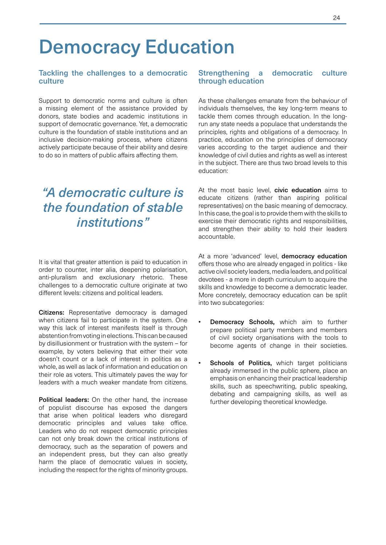# Democracy Education

### Tackling the challenges to a democratic culture

Support to democratic norms and culture is often a missing element of the assistance provided by donors, state bodies and academic institutions in support of democratic governance. Yet, a democratic culture is the foundation of stable institutions and an inclusive decision-making process, where citizens actively participate because of their ability and desire to do so in matters of public affairs affecting them.

# *"A democratic culture is the foundation of stable institutions"*

It is vital that greater attention is paid to education in order to counter, inter alia, deepening polarisation, anti-pluralism and exclusionary rhetoric. These challenges to a democratic culture originate at two different levels: citizens and political leaders.

Citizens: Representative democracy is damaged when citizens fail to participate in the system. One way this lack of interest manifests itself is through abstention from voting in elections. This can be caused by disillusionment or frustration with the system – for example, by voters believing that either their vote doesn't count or a lack of interest in politics as a whole, as well as lack of information and education on their role as voters. This ultimately paves the way for leaders with a much weaker mandate from citizens.

Political leaders: On the other hand, the increase of populist discourse has exposed the dangers that arise when political leaders who disregard democratic principles and values take office. Leaders who do not respect democratic principles can not only break down the critical institutions of democracy, such as the separation of powers and an independent press, but they can also greatly harm the place of democratic values in society, including the respect for the rights of minority groups.

### Strengthening a democratic culture through education

As these challenges emanate from the behaviour of individuals themselves, the key long-term means to tackle them comes through education. In the longrun any state needs a populace that understands the principles, rights and obligations of a democracy. In practice, education on the principles of democracy varies according to the target audience and their knowledge of civil duties and rights as well as interest in the subject. There are thus two broad levels to this education:

At the most basic level, **civic education** aims to educate citizens (rather than aspiring political representatives) on the basic meaning of democracy. In this case, the goal is to provide them with the skills to exercise their democratic rights and responsibilities, and strengthen their ability to hold their leaders accountable.

At a more 'advanced' level, **democracy education** offers those who are already engaged in politics - like active civil society leaders, media leaders, and political devotees - a more in depth curriculum to acquire the skills and knowledge to become a democratic leader. More concretely, democracy education can be split into two subcategories:

- Democracy Schools, which aim to further prepare political party members and members of civil society organisations with the tools to become agents of change in their societies.
- Schools of Politics, which target politicians already immersed in the public sphere, place an emphasis on enhancing their practical leadership skills, such as speechwriting, public speaking, debating and campaigning skills, as well as further developing theoretical knowledge.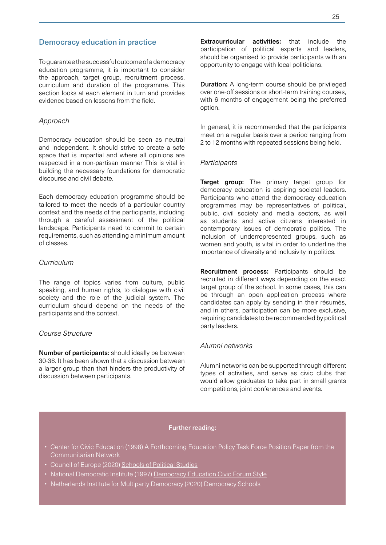# Democracy education in practice

To guarantee the successful outcome of a democracy education programme, it is important to consider the approach, target group, recruitment process, curriculum and duration of the programme. This section looks at each element in turn and provides evidence based on lessons from the field.

### *Approach*

Democracy education should be seen as neutral and independent. It should strive to create a safe space that is impartial and where all opinions are respected in a non-partisan manner This is vital in building the necessary foundations for democratic discourse and civil debate.

Each democracy education programme should be tailored to meet the needs of a particular country context and the needs of the participants, including through a careful assessment of the political landscape. Participants need to commit to certain requirements, such as attending a minimum amount of classes.

# *Curriculum*

The range of topics varies from culture, public speaking, and human rights, to dialogue with civil society and the role of the judicial system. The curriculum should depend on the needs of the participants and the context.

#### *Course Structure*

Number of participants: should ideally be between 30-36. It has been shown that a discussion between a larger group than that hinders the productivity of discussion between participants.

Extracurricular activities: that include the participation of political experts and leaders, should be organised to provide participants with an opportunity to engage with local politicians.

**Duration:** A long-term course should be privileged over one-off sessions or short-term training courses, with 6 months of engagement being the preferred option.

In general, it is recommended that the participants meet on a regular basis over a period ranging from 2 to 12 months with repeated sessions being held.

#### *Participants*

Target group: The primary target group for democracy education is aspiring societal leaders. Participants who attend the democracy education programmes may be representatives of political, public, civil society and media sectors, as well as students and active citizens interested in contemporary issues of democratic politics. The inclusion of underrepresented groups, such as women and youth, is vital in order to underline the importance of diversity and inclusivity in politics.

Recruitment process: Participants should be recruited in different ways depending on the exact target group of the school. In some cases, this can be through an open application process where candidates can apply by sending in their résumés, and in others, participation can be more exclusive, requiring candidates to be recommended by political party leaders.

### *Alumni networks*

Alumni networks can be supported through different types of activities, and serve as civic clubs that would allow graduates to take part in small grants competitions, joint conferences and events.

- Center for Civic Education (1998) [A Forthcoming Education Policy Task Force Position Paper from the](http://www.clubmadrid.org/programa/next-generation-democracy/)  [Communitarian Network](http://www.clubmadrid.org/programa/next-generation-democracy/)
- Council of Europe (2020) [Schools of Political Studies](https://www.coe.int/en/web/schools-political-studies)
- National Democratic Institute (1997) [Democracy Education Civic Forum Style](https://www.ndi.org/sites/default/files/civic_forum_style.pdf)
- Netherlands Institute for Multiparty Democracy (2020) [Democracy Schools](https://nimd.org/wp-content/uploads/2018/05/NIMD-Corporate-brochure-SCHOOLS-v9.pdf)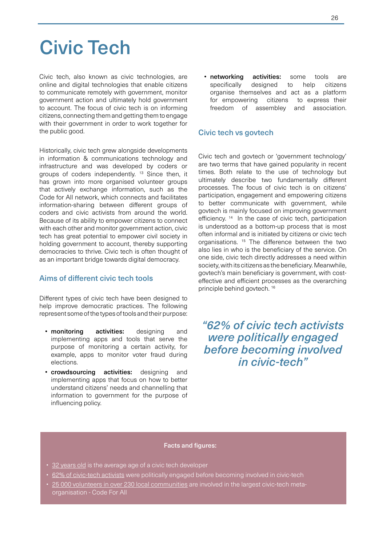# Civic Tech

Civic tech, also known as civic technologies, are online and digital technologies that enable citizens to communicate remotely with government, monitor government action and ultimately hold government to account. The focus of civic tech is on informing citizens, connecting them and getting them to engage with their government in order to work together for the public good.

Historically, civic tech grew alongside developments in information & communications technology and infrastructure and was developed by coders or groups of coders independently. 13 Since then, it has grown into more organised volunteer groups that actively exchange information, such as the Code for All network, which connects and facilitates information-sharing between different groups of coders and civic activists from around the world. Because of its ability to empower citizens to connect with each other and monitor government action, civic tech has great potential to empower civil society in holding government to account, thereby supporting democracies to thrive. Civic tech is often thought of as an important bridge towards digital democracy.

### Aims of different civic tech tools

Different types of civic tech have been designed to help improve democratic practices. The following represent some of the types of tools and their purpose:

- monitoring activities: designing and implementing apps and tools that serve the purpose of monitoring a certain activity, for example, apps to monitor voter fraud during elections.
- crowdsourcing activities: designing and implementing apps that focus on how to better understand citizens' needs and channelling that information to government for the purpose of influencing policy.

• networking activities: some tools are specifically designed to help citizens organise themselves and act as a platform for empowering citizens to express their freedom of assembley and association.

#### Civic tech vs govtech

Civic tech and govtech or 'government technology' are two terms that have gained popularity in recent times. Both relate to the use of technology but ultimately describe two fundamentally different processes. The focus of civic tech is on citizens' participation, engagement and empowering citizens to better communicate with government, while govtech is mainly focused on improving government efficiency.<sup>14</sup> In the case of civic tech, participation is understood as a bottom-up process that is most often informal and is initiated by citizens or civic tech organisations. 15 The difference between the two also lies in who is the beneficiary of the service. On one side, civic tech directly addresses a need within society, with its citizens as the beneficiary. Meanwhile, govtech's main beneficiary is government, with costeffective and efficient processes as the overarching principle behind govtech. 16

# *"62% of civic tech activists were politically engaged before becoming involved in civic-tech"*

- [32 years old](https://medium.com/@julien.carbonnell/civic-tech-case-studies-tools-and-platforms-for-civic-engagement-93ec1f1467e6) is the average age of a civic tech developer
- [62% of civic-tech activists](https://medium.com/@julien.carbonnell/civic-tech-case-studies-tools-and-platforms-for-civic-engagement-93ec1f1467e6) were politically engaged before becoming involved in civic-tech
- [25 000 volunteers in over 230 local communities](https://medium.com/@julien.carbonnell/civic-tech-case-studies-tools-and-platforms-for-civic-engagement-93ec1f1467e6) are involved in the largest civic-tech metaorganisation - Code For All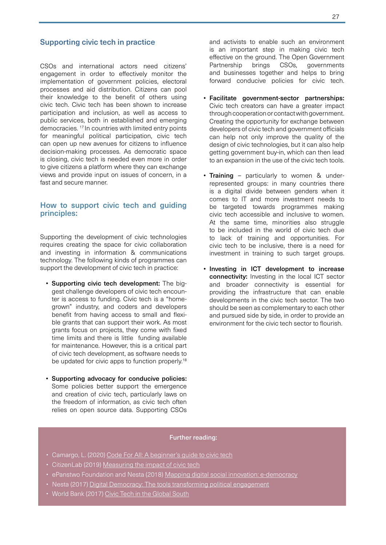## Supporting civic tech in practice

CSOs and international actors need citizens' engagement in order to effectively monitor the implementation of government policies, electoral processes and aid distribution. Citizens can pool their knowledge to the benefit of others using civic tech. Civic tech has been shown to increase participation and inclusion, as well as access to public services, both in established and emerging democracies. 17 In countries with limited entry points for meaningful political participation, civic tech can open up new avenues for citizens to influence decision-making processes. As democratic space is closing, civic tech is needed even more in order to give citizens a platform where they can exchange views and provide input on issues of concern, in a fast and secure manner.

### How to support civic tech and guiding principles:

Supporting the development of civic technologies requires creating the space for civic collaboration and investing in information & communications technology. The following kinds of programmes can support the development of civic tech in practice:

- Supporting civic tech development: The biggest challenge developers of civic tech encounter is access to funding. Civic tech is a "homegrown" industry, and coders and developers benefit from having access to small and flexible grants that can support their work. As most grants focus on projects, they come with fixed time limits and there is little funding available for maintenance. However, this is a critical part of civic tech development, as software needs to be updated for civic apps to function properly.<sup>18</sup>
- Supporting advocacy for conducive policies: Some policies better support the emergence and creation of civic tech, particularly laws on the freedom of information, as civic tech often relies on open source data. Supporting CSOs

and activists to enable such an environment is an important step in making civic tech effective on the ground. The Open Government Partnership brings CSOs, governments and businesses together and helps to bring forward conducive policies for civic tech.

- Facilitate government-sector partnerships: Civic tech creators can have a greater impact through cooperation or contact with government. Creating the opportunity for exchange between developers of civic tech and government officials can help not only improve the quality of the design of civic technologies, but it can also help getting government buy-in, which can then lead to an expansion in the use of the civic tech tools.
- **Training** particularly to women & underrepresented groups: in many countries there is a digital divide between genders when it comes to IT and more investment needs to be targeted towards programmes making civic tech accessible and inclusive to women. At the same time, minorities also struggle to be included in the world of civic tech due to lack of training and opportunities. For civic tech to be inclusive, there is a need for investment in training to such target groups.
- Investing in ICT development to increase connectivity: Investing in the local ICT sector and broader connectivity is essential for providing the infrastructure that can enable developments in the civic tech sector. The two should be seen as complementary to each other and pursued side by side, in order to provide an environment for the civic tech sector to flourish.

- Camargo, L. (2020) Code For All: [A beginner's guide to civic tech](https://medium.com/code-for-all/a-beginners-guide-to-civic-tech-66f070599ae6)
- CitizenLab (2019) [Measuring the impact of civic tech](https://www.citizenlab.co/ebooks-en/measuring-impact-in-civic-tech)
- ePanstwo Foundation and Nesta (2018) [Mapping digital social innovation: e-democracy](https://digitalsocial.eu/images/upload/29-Digital democracy.pdf)
- Nesta (2017) [Digital Democracy: The tools transforming political engagement](https://media.nesta.org.uk/documents/digital_democracy.pdf)
- World Bank (2017) [Civic Tech in the Global South](http://documents1.worldbank.org/curated/en/717091503398213001/pdf/119037-PUB-P133525-PUBLIC-21-8-2017-16-46-30-CivicTechPeixotoSify.pdf)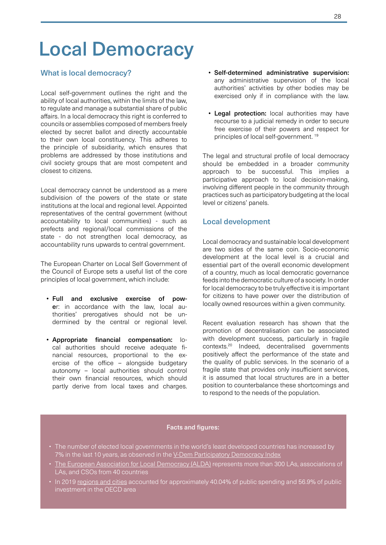# Local Democracy

# What is local democracy?

Local self-government outlines the right and the ability of local authorities, within the limits of the law, to regulate and manage a substantial share of public affairs. In a local democracy this right is conferred to councils or assemblies composed of members freely elected by secret ballot and directly accountable to their own local constituency. This adheres to the principle of subsidiarity, which ensures that problems are addressed by those institutions and civil society groups that are most competent and closest to citizens.

Local democracy cannot be understood as a mere subdivision of the powers of the state or state institutions at the local and regional level. Appointed representatives of the central government (without accountability to local communities) - such as prefects and regional/local commissions of the state - do not strengthen local democracy, as accountability runs upwards to central government.

The European Charter on Local Self Government of the Council of Europe sets a useful list of the core principles of local government, which include:

- Full and exclusive exercise of power: in accordance with the law, local authorities' prerogatives should not be undermined by the central or regional level.
- Appropriate financial compensation: local authorities should receive adequate financial resources, proportional to the exercise of the office – alongside budgetary autonomy – local authorities should control their own financial resources, which should partly derive from local taxes and charges.
- Self-determined administrative supervision: any administrative supervision of the local authorities' activities by other bodies may be exercised only if in compliance with the law.
- Legal protection: local authorities may have recourse to a judicial remedy in order to secure free exercise of their powers and respect for principles of local self-government. 19

The legal and structural profile of local democracy should be embedded in a broader community approach to be successful. This implies a participative approach to local decision-making, involving different people in the community through practices such as participatory budgeting at the local level or citizens' panels.

### Local development

Local democracy and sustainable local development are two sides of the same coin. Socio-economic development at the local level is a crucial and essential part of the overall economic development of a country, much as local democratic governance feeds into the democratic culture of a society. In order for local democracy to be truly effective it is important for citizens to have power over the distribution of locally owned resources within a given community.

Recent evaluation research has shown that the promotion of decentralisation can be associated with development success, particularly in fragile contexts.20 Indeed, decentralised governments positively affect the performance of the state and the quality of public services. In the scenario of a fragile state that provides only insufficient services, it is assumed that local structures are in a better position to counterbalance these shortcomings and to respond to the needs of the population.

- The number of elected local governments in the world's least developed countries has increased by 7% in the last 10 years, as observed in the [V-Dem Participatory Democracy Index](https://www.v-dem.net/en/analysis/VariableGraph/)
- [The European Association for Local Democracy \(ALDA\)](https://www.alda-europe.eu/newSite/about_us.php) represents more than 300 LAs, associations of LAs, and CSOs from 40 countries
- In 2019 [regions and cities](http://In many EU partner countries, funding directly channelled through Local Authorities still represents a marginal part of national public sector expenditure and of international development aid.) accounted for approximately 40.04% of public spending and 56.9% of public investment in the OECD area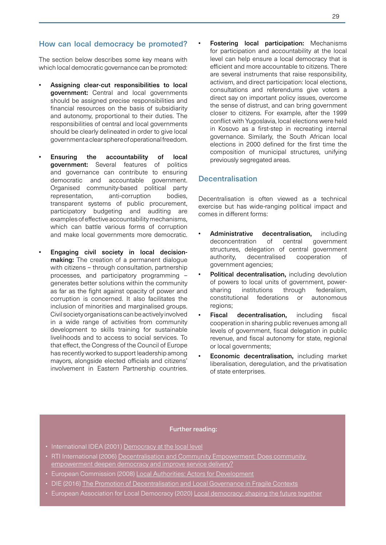# How can local democracy be promoted?

The section below describes some key means with which local democratic governance can be promoted:

- Assigning clear-cut responsibilities to local government: Central and local governments should be assigned precise responsibilities and financial resources on the basis of subsidiarity and autonomy, proportional to their duties. The responsibilities of central and local governments should be clearly delineated in order to give local government a clear sphere of operational freedom.
- Ensuring the accountability of local government: Several features of politics and governance can contribute to ensuring democratic and accountable government. Organised community-based political party representation, anti-corruption bodies, transparent systems of public procurement, participatory budgeting and auditing are examples of effective accountability mechanisms, which can battle various forms of corruption and make local governments more democratic.
- Engaging civil society in local decisionmaking: The creation of a permanent dialogue with citizens – through consultation, partnership processes, and participatory programming – generates better solutions within the community as far as the fight against opacity of power and corruption is concerned. It also facilitates the inclusion of minorities and marginalised groups. Civil society organisations can be actively involved in a wide range of activities from community development to skills training for sustainable livelihoods and to access to social services. To that effect, the Congress of the Council of Europe has recently worked to support leadership among mayors, alongside elected officials and citizens' involvement in Eastern Partnership countries.

**Fostering local participation:** Mechanisms for participation and accountability at the local level can help ensure a local democracy that is efficient and more accountable to citizens. There are several instruments that raise responsibility, activism, and direct participation: local elections, consultations and referendums give voters a direct say on important policy issues, overcome the sense of distrust, and can bring government closer to citizens. For example, after the 1999 conflict with Yugoslavia, local elections were held in Kosovo as a first-step in recreating internal governance. Similarly, the South African local elections in 2000 defined for the first time the composition of municipal structures, unifying previously segregated areas.

# **Decentralisation**

Decentralisation is often viewed as a technical exercise but has wide-ranging political impact and comes in different forms:

- Administrative decentralisation, including deconcentration of central government structures, delegation of central government authority, decentralised cooperation of government agencies;
- Political decentralisation, including devolution of powers to local units of government, powersharing institutions through federalism, constitutional federations or autonomous regions;
- Fiscal decentralisation, including fiscal cooperation in sharing public revenues among all levels of government, fiscal delegation in public revenue, and fiscal autonomy for state, regional or local governments;
- **Economic decentralisation, including market** liberalisation, deregulation, and the privatisation of state enterprises.

- International IDEA (2001) [Democracy at the local level](https://www.idea.int/publications/catalogue/democracy-local-level)
- RTI International (2006) Decentralisation and Community Empowerment: Does community [empowerment deepen democracy and improve service delivery?](http://pdf.usaid.gov/pdf_docs/Pnadh325.pdf)
- European Commission (2008) [Local Authorities: Actors for Development](http://eur-lex.europa.eu/lexUriServ/LexUriServ.do?uri=COM:2008:0626:FIN:EN:PDF)
- DIE (2016) [The Promotion of Decentralisation and Local Governance in Fragile Contexts](https://www.die-gdi.de/en/discussion-paper/article/the-promotion-of-decentralisation-and-local-governance-in-fragile-contexts/)
- European Association for Local Democracy (2020) [Local democracy: shaping the future together](https://www.alda-europe.eu/wp-content/uploads/2020/10/STRATEGIC_VIEWS2020compr.pdf)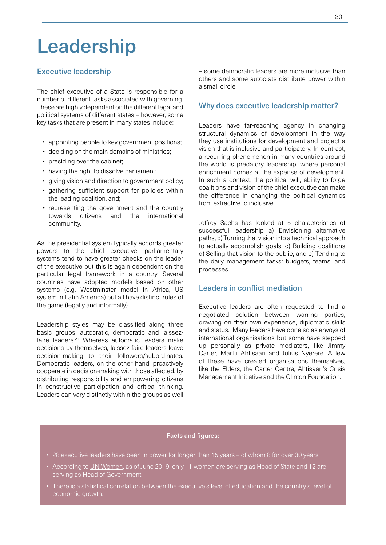# Leadership

# Executive leadership

The chief executive of a State is responsible for a number of different tasks associated with governing. These are highly dependent on the different legal and political systems of different states – however, some key tasks that are present in many states include:

- appointing people to key government positions;
- deciding on the main domains of ministries;
- presiding over the cabinet;
- having the right to dissolve parliament;
- giving vision and direction to government policy;
- gathering sufficient support for policies within the leading coalition, and;
- representing the government and the country towards citizens and the international community.

As the presidential system typically accords greater powers to the chief executive, parliamentary systems tend to have greater checks on the leader of the executive but this is again dependent on the particular legal framework in a country. Several countries have adopted models based on other systems (e.g. Westminster model in Africa, US system in Latin America) but all have distinct rules of the game (legally and informally).

Leadership styles may be classified along three basic groups: autocratic, democratic and laissezfaire leaders.21 Whereas autocratic leaders make decisions by themselves, laissez-faire leaders leave decision-making to their followers/subordinates. Democratic leaders, on the other hand, proactively cooperate in decision-making with those affected, by distributing responsibility and empowering citizens in constructive participation and critical thinking. Leaders can vary distinctly within the groups as well

– some democratic leaders are more inclusive than others and some autocrats distribute power within a small circle.

### Why does executive leadership matter?

Leaders have far-reaching agency in changing structural dynamics of development in the way they use institutions for development and project a vision that is inclusive and participatory. In contrast, a recurring phenomenon in many countries around the world is predatory leadership, where personal enrichment comes at the expense of development. In such a context, the political will, ability to forge coalitions and vision of the chief executive can make the difference in changing the political dynamics from extractive to inclusive.

Jeffrey Sachs has looked at 5 characteristics of successful leadership a) Envisioning alternative paths, b) Turning that vision into a technical approach to actually accomplish goals, c) Building coalitions d) Selling that vision to the public, and e) Tending to the daily management tasks: budgets, teams, and processes.

# Leaders in conflict mediation

Executive leaders are often requested to find a negotiated solution between warring parties, drawing on their own experience, diplomatic skills and status. Many leaders have done so as envoys of international organisations but some have stepped up personally as private mediators, like Jimmy Carter, Martti Ahtisaari and Julius Nyerere. A few of these have created organisations themselves, like the Elders, the Carter Centre, Ahtisaari's Crisis Management Initiative and the Clinton Foundation.

- 28 executive leaders have been in power for longer than 15 years of whom 8 for over 30 years
- According to [UN Women,](https://www.unwomen.org/en/what-we-do/leadership-and-political-participation/facts-and-figures) as of June 2019, only 11 women are serving as Head of State and 12 are serving as Head of Government
- There is a [statistical correlation](https://www.dlprog.org/publications/research-papers/emerging-and-non-emerging-african-countries-a-statistical-exploration-of-the-leadership-factor) between the executive's level of education and the country's level of economic growth.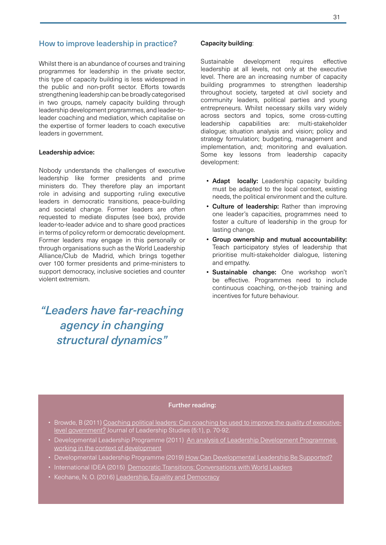### How to improve leadership in practice?

Whilst there is an abundance of courses and training programmes for leadership in the private sector, this type of capacity building is less widespread in the public and non-profit sector. Efforts towards strengthening leadership can be broadly categorised in two groups, namely capacity building through leadership development programmes, and leader-toleader coaching and mediation, which capitalise on the expertise of former leaders to coach executive leaders in government.

#### Leadership advice:

Nobody understands the challenges of executive leadership like former presidents and prime ministers do. They therefore play an important role in advising and supporting ruling executive leaders in democratic transitions, peace-building and societal change. Former leaders are often requested to mediate disputes (see box), provide leader-to-leader advice and to share good practices in terms of policy reform or democratic development. Former leaders may engage in this personally or through organisations such as the World Leadership Alliance/Club de Madrid, which brings together over 100 former presidents and prime-ministers to support democracy, inclusive societies and counter violent extremism.

# *"Leaders have far-reaching agency in changing structural dynamics"*

#### Capacity building:

Sustainable development requires effective leadership at all levels, not only at the executive level. There are an increasing number of capacity building programmes to strengthen leadership throughout society, targeted at civil society and community leaders, political parties and young entrepreneurs. Whilst necessary skills vary widely across sectors and topics, some cross-cutting leadership capabilities are: multi-stakeholder dialogue; situation analysis and vision; policy and strategy formulation; budgeting, management and implementation, and; monitoring and evaluation. Some key lessons from leadership capacity development:

- **Adapt** locally: Leadership capacity building must be adapted to the local context, existing needs, the political environment and the culture.
- Culture of leadership: Rather than improving one leader's capacities, programmes need to foster a culture of leadership in the group for lasting change.
- Group ownership and mutual accountability: Teach participatory styles of leadership that prioritise multi-stakeholder dialogue, listening and empathy.
- Sustainable change: One workshop won't be effective. Programmes need to include continuous coaching, on-the-job training and incentives for future behaviour.

- Browde, B (2011) Coaching political leaders: Can coaching be used to improve the quality of executive [level government?](https://onlinelibrary.wiley.com/doi/epdf/10.1002/jls.20206) Journal of Leadership Studies (5:1), p. 70-92.
- Developmental Leadership Programme (2011) An analysis of Leadership Development Programmes [working in the context of development](https://www.dlprog.org/publications/executive-summaries/executive-summary-an-analysis-of-leadership-development-programmes)
- Developmental Leadership Programme (2019) [How Can Developmental Leadership Be Supported?](https://www.dlprog.org/publications/foundational-papers/How-can-developmental-leadership-be-supported)
- [International IDEA \(2015\) Democratic Transitions: Conversations with World Leaders](https://www.dlprog.org/publications/foundational-papers/How-can-developmental-leadership-be-supported)
- Keohane, N. O. (2016) [Leadership, Equality and Democracy](https://www.mitpressjournals.org/doi/abs/10.1162/DAED_a_00393?journalCode=daed)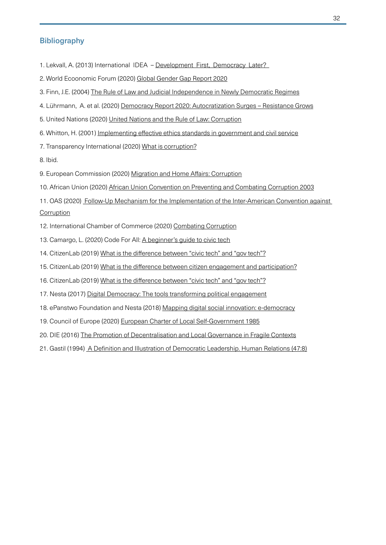# Bibliography

- 1. Lekvall, A. (2013) International IDEA Development First, Democracy Later?
- 2. World Ecoonomic Forum (2020) [Global Gender Gap Report 2020](http://www3.weforum.org/docs/WEF_GGGR_2020.pdf)
- 3. Finn, J.E. (2004) [The Rule of Law and Judicial Independence in Newly Democratic Regimes](https://muse.jhu.edu/article/181440/pdf)
- 4. Lührmann, A. et al. (2020) [Democracy Report 2020: Autocratization Surges Resistance Grows](https://www.v-dem.net/media/filer_public/de/39/de39af54-0bc5-4421-89ae-fb20dcc53dba/democracy_report.pdf)
- 5. United Nations (2020) [United Nations and the Rule of Law: Corruption](https://www.un.org/ruleoflaw/thematic-areas/governance/corruption/
)
- 6. Whitton, H. (2001) [Implementing effective ethics standards in government and civil service](https://www.oecd.org/mena/governance/35521740.pdf)
- 7. Transparency International (2020) [What is corruption?](https://www.transparency.org/en/what-is-corruption )

8. Ibid.

- 9. European Commission (2020) Migration and Home Affairs: [Corruption](https://ec.europa.eu/home-affairs/what-we-do/policies/organized-crime-and-human-trafficking/corruption_en)
- 10. African Union (2020) [African Union Convention on Preventing and Combating Corruption 2003](https://au.int/en/treaties/african-union-convention-preventing-and-combating-corruption)
- 11. OAS (2020) Follow-Up Mechanism for the Implementation of the Inter-American Convention against **[Corruption](http://www.oas.org/en/sla/dlc/mesicic/)**
- 12. International Chamber of Commerce (2020) [Combating Corruption](https://iccwbo.org/global-issues-trends/responsible-business/combatting-corruption/)
- 13. Camargo, L. (2020) Code For All: [A beginner's guide to civic tech](https://medium.com/code-for-all/a-beginners-guide-to-civic-tech-66f070599ae6)
- 14. CitizenLab (2019) [What is the difference between "civic tech" and "gov tech"?](https://www.citizenlab.co/blog/civic-tech/whats-difference-civic-tech-govtech/)
- 15. CitizenLab (2019) [What is the difference between citizen engagement and participation?](https://www.citizenlab.co/blog/civic-engagement/what-is-the-difference-between-citizen-engagement-and-participation/ )
- 16. CitizenLab (2019) [What is the difference between "civic tech" and "gov tech"?](https://www.citizenlab.co/blog/civic-tech/whats-difference-civic-tech-govtech/)
- 17. Nesta (2017) [Digital Democracy: The tools transforming political engagement](https://media.nesta.org.uk/documents/digital_democracy.pdf)
- 18. ePanstwo Foundation and Nesta (2018) [Mapping digital social innovation: e-democracy](https://digitalsocial.eu/images/upload/29-Digital%20democracy.pdf)
- 19. Council of Europe (2020) [European Charter of Local Self-Government 1985](https://www.coe.int/en/web/conventions/full-list/-/conventions/treaty/122)
- 20. DIE (2016) [The Promotion of Decentralisation and Local Governance in Fragile Contexts](https://www.die-gdi.de/en/discussion-paper/article/the-promotion-of-decentralisation-and-local-governance-in-fragile-contexts/)
- [21. Gastil \(1994\) A Definition and Illustration of Democratic Leadership. Human Relations \(47:8\)](https://www.die-gdi.de/en/discussion-paper/article/the-promotion-of-decentralisation-and-local-governance-in-fragile-contexts/)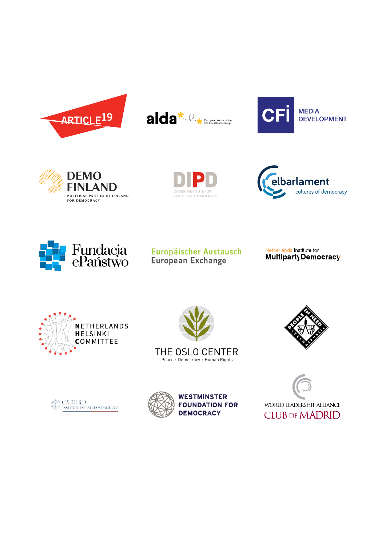













# Europäischer Austausch European Exchange

Netherlands Institute for Multiparty Democracy











**WESTMINSTER FOUNDATION FOR DEMOCRACY**